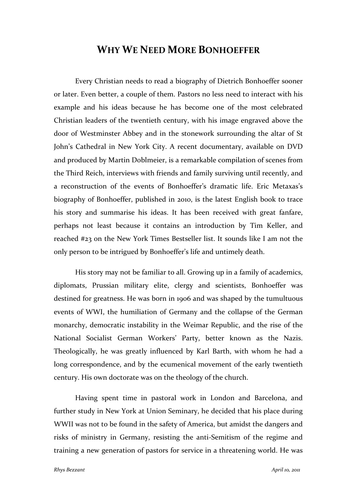## **WHY WE NEED MORE BONHOEFFER**

Every Christian needs to read a biography of Dietrich Bonhoeffer sooner or later. Even better, a couple of them. Pastors no less need to interact with his example and his ideas because he has become one of the most celebrated Christian leaders of the twentieth century, with his image engraved above the door of Westminster Abbey and in the stonework surrounding the altar of St John's Cathedral in New York City. A recent documentary, available on DVD and produced by Martin Doblmeier, is a remarkable compilation of scenes from the Third Reich, interviews with friends and family surviving until recently, and a reconstruction of the events of Bonhoeffer's dramatic life. Eric Metaxas's biography of Bonhoeffer, published in 2010, is the latest English book to trace his story and summarise his ideas. It has been received with great fanfare, perhaps not least because it contains an introduction by Tim Keller, and reached #23 on the New York Times Bestseller list. It sounds like I am not the only person to be intrigued by Bonhoeffer's life and untimely death.

His story may not be familiar to all. Growing up in a family of academics, diplomats, Prussian military elite, clergy and scientists, Bonhoeffer was destined for greatness. He was born in 1906 and was shaped by the tumultuous events of WWI, the humiliation of Germany and the collapse of the German monarchy, democratic instability in the Weimar Republic, and the rise of the National Socialist German Workers' Party, better known as the Nazis. Theologically, he was greatly influenced by Karl Barth, with whom he had a long correspondence, and by the ecumenical movement of the early twentieth century. His own doctorate was on the theology of the church.

Having spent time in pastoral work in London and Barcelona, and further study in New York at Union Seminary, he decided that his place during WWII was not to be found in the safety of America, but amidst the dangers and risks of ministry in Germany, resisting the anti‐Semitism of the regime and training a new generation of pastors for service in a threatening world. He was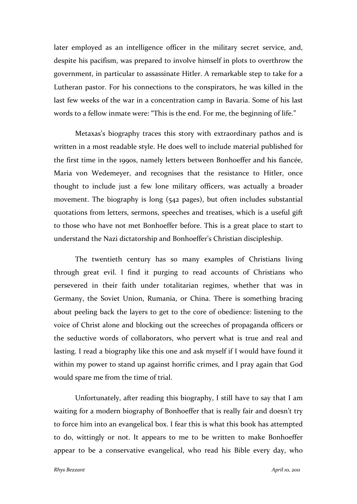later employed as an intelligence officer in the military secret service, and, despite his pacifism, was prepared to involve himself in plots to overthrow the government, in particular to assassinate Hitler. A remarkable step to take for a Lutheran pastor. For his connections to the conspirators, he was killed in the last few weeks of the war in a concentration camp in Bavaria. Some of his last words to a fellow inmate were: "This is the end. For me, the beginning of life."

Metaxas's biography traces this story with extraordinary pathos and is written in a most readable style. He does well to include material published for the first time in the 1990s, namely letters between Bonhoeffer and his fiancée, Maria von Wedemeyer, and recognises that the resistance to Hitler, once thought to include just a few lone military officers, was actually a broader movement. The biography is long (542 pages), but often includes substantial quotations from letters, sermons, speeches and treatises, which is a useful gift to those who have not met Bonhoeffer before. This is a great place to start to understand the Nazi dictatorship and Bonhoeffer's Christian discipleship.

The twentieth century has so many examples of Christians living through great evil. I find it purging to read accounts of Christians who persevered in their faith under totalitarian regimes, whether that was in Germany, the Soviet Union, Rumania, or China. There is something bracing about peeling back the layers to get to the core of obedience: listening to the voice of Christ alone and blocking out the screeches of propaganda officers or the seductive words of collaborators, who pervert what is true and real and lasting. I read a biography like this one and ask myself if I would have found it within my power to stand up against horrific crimes, and I pray again that God would spare me from the time of trial.

Unfortunately, after reading this biography, I still have to say that I am waiting for a modern biography of Bonhoeffer that is really fair and doesn't try to force him into an evangelical box. I fear this is what this book has attempted to do, wittingly or not. It appears to me to be written to make Bonhoeffer appear to be a conservative evangelical, who read his Bible every day, who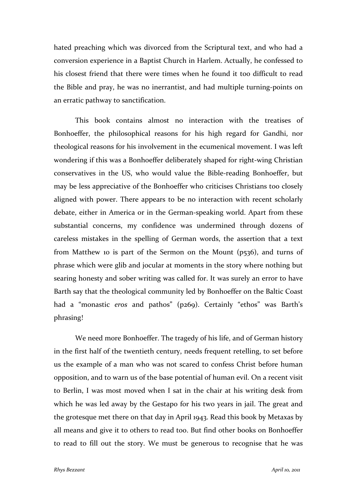hated preaching which was divorced from the Scriptural text, and who had a conversion experience in a Baptist Church in Harlem. Actually, he confessed to his closest friend that there were times when he found it too difficult to read the Bible and pray, he was no inerrantist, and had multiple turning‐points on an erratic pathway to sanctification.

This book contains almost no interaction with the treatises of Bonhoeffer, the philosophical reasons for his high regard for Gandhi, nor theological reasons for his involvement in the ecumenical movement. I was left wondering if this was a Bonhoeffer deliberately shaped for right-wing Christian conservatives in the US, who would value the Bible‐reading Bonhoeffer, but may be less appreciative of the Bonhoeffer who criticises Christians too closely aligned with power. There appears to be no interaction with recent scholarly debate, either in America or in the German‐speaking world. Apart from these substantial concerns, my confidence was undermined through dozens of careless mistakes in the spelling of German words, the assertion that a text from Matthew 10 is part of the Sermon on the Mount (p536), and turns of phrase which were glib and jocular at moments in the story where nothing but searing honesty and sober writing was called for. It was surely an error to have Barth say that the theological community led by Bonhoeffer on the Baltic Coast had a "monastic *eros* and pathos" (p269). Certainly "ethos" was Barth's phrasing!

We need more Bonhoeffer. The tragedy of his life, and of German history in the first half of the twentieth century, needs frequent retelling, to set before us the example of a man who was not scared to confess Christ before human opposition, and to warn us of the base potential of human evil. On a recent visit to Berlin, I was most moved when I sat in the chair at his writing desk from which he was led away by the Gestapo for his two years in jail. The great and the grotesque met there on that day in April 1943. Read this book by Metaxas by all means and give it to others to read too. But find other books on Bonhoeffer to read to fill out the story. We must be generous to recognise that he was